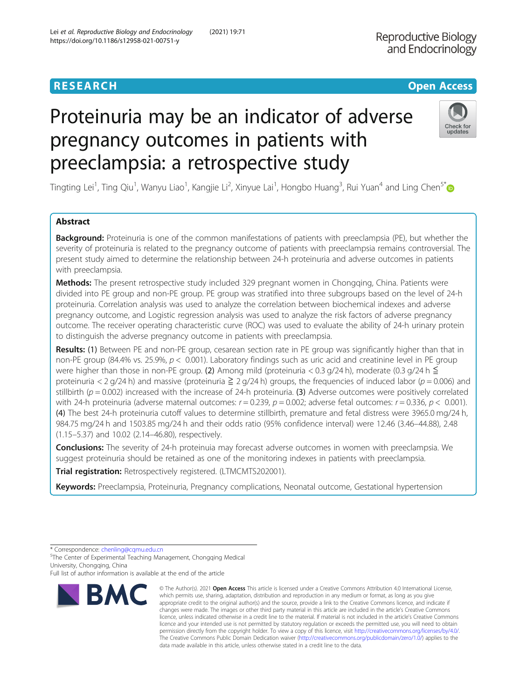# https://doi.org/10.1186/s12958-021-00751-y

## Proteinuria may be an indicator of adverse pregnancy outcomes in patients with preeclampsia: a retrospective study

Tingting Lei<sup>1</sup>, Ting Qiu<sup>1</sup>, Wanyu Liao<sup>1</sup>, Kangjie Li<sup>2</sup>, Xinyue Lai<sup>1</sup>, Hongbo Huang<sup>3</sup>, Rui Yuan<sup>4</sup> and Ling Chen<sup>5\*</sup>

## Abstract

Background: Proteinuria is one of the common manifestations of patients with preeclampsia (PE), but whether the severity of proteinuria is related to the pregnancy outcome of patients with preeclampsia remains controversial. The present study aimed to determine the relationship between 24-h proteinuria and adverse outcomes in patients with preeclampsia.

Methods: The present retrospective study included 329 pregnant women in Chongqing, China. Patients were divided into PE group and non-PE group. PE group was stratified into three subgroups based on the level of 24-h proteinuria. Correlation analysis was used to analyze the correlation between biochemical indexes and adverse pregnancy outcome, and Logistic regression analysis was used to analyze the risk factors of adverse pregnancy outcome. The receiver operating characteristic curve (ROC) was used to evaluate the ability of 24-h urinary protein to distinguish the adverse pregnancy outcome in patients with preeclampsia.

Results: (1) Between PE and non-PE group, cesarean section rate in PE group was significantly higher than that in non-PE group (84.4% vs. 25.9%,  $p < 0.001$ ). Laboratory findings such as uric acid and creatinine level in PE group were higher than those in non-PE group. (2) Among mild (proteinuria < 0.3 g/24 h), moderate (0.3 g/24 h  $\leq$ proteinuria < 2 g/24 h) and massive (proteinuria  $\geq 2$  g/24 h) groups, the frequencies of induced labor ( $p = 0.006$ ) and stillbirth ( $p = 0.002$ ) increased with the increase of 24-h proteinuria. (3) Adverse outcomes were positively correlated with 24-h proteinuria (adverse maternal outcomes:  $r = 0.239$ ,  $p = 0.002$ ; adverse fetal outcomes:  $r = 0.336$ ,  $p < 0.001$ ). (4) The best 24-h proteinuria cutoff values to determine stillbirth, premature and fetal distress were 3965.0 mg/24 h, 984.75 mg/24 h and 1503.85 mg/24 h and their odds ratio (95% confidence interval) were 12.46 (3.46–44.88), 2.48 (1.15–5.37) and 10.02 (2.14–46.80), respectively.

**Conclusions:** The severity of 24-h proteinuia may forecast adverse outcomes in women with preeclampsia. We suggest proteinuria should be retained as one of the monitoring indexes in patients with preeclampsia.

Trial registration: Retrospectively registered. (LTMCMTS202001).

Keywords: Preeclampsia, Proteinuria, Pregnancy complications, Neonatal outcome, Gestational hypertension

\* Correspondence: [chenling@cqmu.edu.cn](mailto:chenling@cqmu.edu.cn) <sup>5</sup>

<sup>5</sup>The Center of Experimental Teaching Management, Chongqing Medical University, Chongqing, China

Full list of author information is available at the end of the article



Lei et al. Reproductive Biology and Endocrinology (2021) 19:71

**RMC** 

<sup>©</sup> The Author(s), 2021 **Open Access** This article is licensed under a Creative Commons Attribution 4.0 International License, which permits use, sharing, adaptation, distribution and reproduction in any medium or format, as long as you give appropriate credit to the original author(s) and the source, provide a link to the Creative Commons licence, and indicate if changes were made. The images or other third party material in this article are included in the article's Creative Commons licence, unless indicated otherwise in a credit line to the material. If material is not included in the article's Creative Commons licence and your intended use is not permitted by statutory regulation or exceeds the permitted use, you will need to obtain permission directly from the copyright holder. To view a copy of this licence, visit [http://creativecommons.org/licenses/by/4.0/.](http://creativecommons.org/licenses/by/4.0/) The Creative Commons Public Domain Dedication waiver [\(http://creativecommons.org/publicdomain/zero/1.0/](http://creativecommons.org/publicdomain/zero/1.0/)) applies to the data made available in this article, unless otherwise stated in a credit line to the data.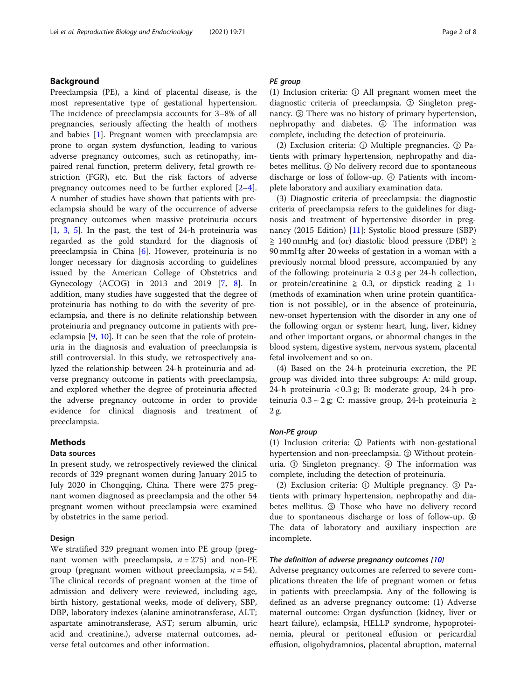## Background

Preeclampsia (PE), a kind of placental disease, is the most representative type of gestational hypertension. The incidence of preeclampsia accounts for 3–8% of all pregnancies, seriously affecting the health of mothers and babies [[1\]](#page-7-0). Pregnant women with preeclampsia are prone to organ system dysfunction, leading to various adverse pregnancy outcomes, such as retinopathy, impaired renal function, preterm delivery, fetal growth restriction (FGR), etc. But the risk factors of adverse pregnancy outcomes need to be further explored [\[2](#page-7-0)–[4](#page-7-0)]. A number of studies have shown that patients with preeclampsia should be wary of the occurrence of adverse pregnancy outcomes when massive proteinuria occurs  $[1, 3, 5]$  $[1, 3, 5]$  $[1, 3, 5]$  $[1, 3, 5]$  $[1, 3, 5]$  $[1, 3, 5]$  $[1, 3, 5]$ . In the past, the test of 24-h proteinuria was regarded as the gold standard for the diagnosis of preeclampsia in China [[6\]](#page-7-0). However, proteinuria is no longer necessary for diagnosis according to guidelines issued by the American College of Obstetrics and Gynecology (ACOG) in 2013 and 2019 [[7,](#page-7-0) [8](#page-7-0)]. In addition, many studies have suggested that the degree of proteinuria has nothing to do with the severity of preeclampsia, and there is no definite relationship between proteinuria and pregnancy outcome in patients with preeclampsia [[9,](#page-7-0) [10\]](#page-7-0). It can be seen that the role of proteinuria in the diagnosis and evaluation of preeclampsia is still controversial. In this study, we retrospectively analyzed the relationship between 24-h proteinuria and adverse pregnancy outcome in patients with preeclampsia, and explored whether the degree of proteinuria affected the adverse pregnancy outcome in order to provide evidence for clinical diagnosis and treatment of preeclampsia.

## Methods

## Data sources

In present study, we retrospectively reviewed the clinical records of 329 pregnant women during January 2015 to July 2020 in Chongqing, China. There were 275 pregnant women diagnosed as preeclampsia and the other 54 pregnant women without preeclampsia were examined by obstetrics in the same period.

### Design

We stratified 329 pregnant women into PE group (pregnant women with preeclampsia,  $n = 275$ ) and non-PE group (pregnant women without preeclampsia,  $n = 54$ ). The clinical records of pregnant women at the time of admission and delivery were reviewed, including age, birth history, gestational weeks, mode of delivery, SBP, DBP, laboratory indexes (alanine aminotransferase, ALT; aspartate aminotransferase, AST; serum albumin, uric acid and creatinine.), adverse maternal outcomes, adverse fetal outcomes and other information.

## PE group

(1) Inclusion criteria: ① All pregnant women meet the diagnostic criteria of preeclampsia. ② Singleton pregnancy. ③ There was no history of primary hypertension, nephropathy and diabetes. ④ The information was complete, including the detection of proteinuria.

(2) Exclusion criteria: ① Multiple pregnancies. ② Patients with primary hypertension, nephropathy and diabetes mellitus. ③ No delivery record due to spontaneous discharge or loss of follow-up. ④ Patients with incomplete laboratory and auxiliary examination data.

(3) Diagnostic criteria of preeclampsia: the diagnostic criteria of preeclampsia refers to the guidelines for diagnosis and treatment of hypertensive disorder in preg-nancy (2015 Edition) [\[11\]](#page-7-0): Systolic blood pressure (SBP) ≧ 140 mmHg and (or) diastolic blood pressure (DBP) ≧ 90 mmHg after 20 weeks of gestation in a woman with a previously normal blood pressure, accompanied by any of the following: proteinuria ≥ 0.3 g per 24-h collection, or protein/creatinine  $\geq$  0.3, or dipstick reading  $\geq$  1+ (methods of examination when urine protein quantification is not possible), or in the absence of proteinuria, new-onset hypertension with the disorder in any one of the following organ or system: heart, lung, liver, kidney and other important organs, or abnormal changes in the blood system, digestive system, nervous system, placental fetal involvement and so on.

(4) Based on the 24-h proteinuria excretion, the PE group was divided into three subgroups: A: mild group, 24-h proteinuria < 0.3 g; B: moderate group, 24-h proteinuria 0.3 ~ 2 g; C: massive group, 24-h proteinuria ≧ 2 g.

## Non-PE group

(1) Inclusion criteria: ① Patients with non-gestational hypertension and non-preeclampsia. ② Without proteinuria. ③ Singleton pregnancy. ④ The information was complete, including the detection of proteinuria.

(2) Exclusion criteria: ① Multiple pregnancy. ② Patients with primary hypertension, nephropathy and diabetes mellitus. ③ Those who have no delivery record due to spontaneous discharge or loss of follow-up. ④ The data of laboratory and auxiliary inspection are incomplete.

## The definition of adverse pregnancy outcomes [[10](#page-7-0)]

Adverse pregnancy outcomes are referred to severe complications threaten the life of pregnant women or fetus in patients with preeclampsia. Any of the following is defined as an adverse pregnancy outcome: (1) Adverse maternal outcome: Organ dysfunction (kidney, liver or heart failure), eclampsia, HELLP syndrome, hypoproteinemia, pleural or peritoneal effusion or pericardial effusion, oligohydramnios, placental abruption, maternal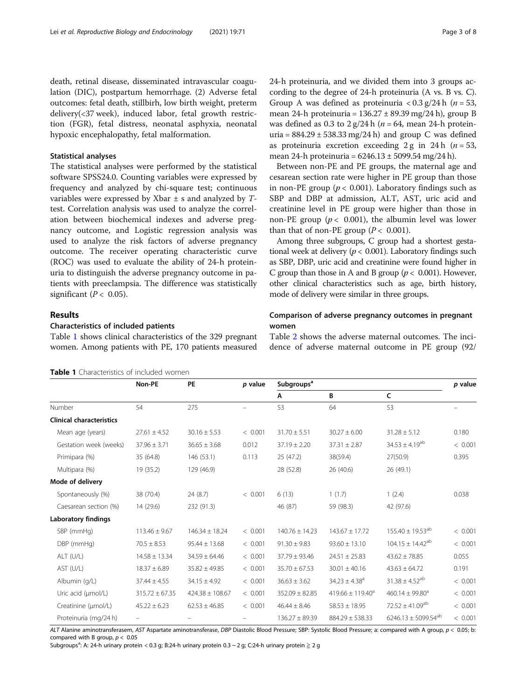death, retinal disease, disseminated intravascular coagulation (DIC), postpartum hemorrhage. (2) Adverse fetal outcomes: fetal death, stillbirh, low birth weight, preterm delivery(<37 week), induced labor, fetal growth restriction (FGR), fetal distress, neonatal asphyxia, neonatal hypoxic encephalopathy, fetal malformation.

## Statistical analyses

The statistical analyses were performed by the statistical software SPSS24.0. Counting variables were expressed by frequency and analyzed by chi-square test; continuous variables were expressed by Xbar  $\pm$  s and analyzed by  $T$ test. Correlation analysis was used to analyze the correlation between biochemical indexes and adverse pregnancy outcome, and Logistic regression analysis was used to analyze the risk factors of adverse pregnancy outcome. The receiver operating characteristic curve (ROC) was used to evaluate the ability of 24-h proteinuria to distinguish the adverse pregnancy outcome in patients with preeclampsia. The difference was statistically significant ( $P < 0.05$ ).

## Results

### Characteristics of included patients

Table 1 shows clinical characteristics of the 329 pregnant women. Among patients with PE, 170 patients measured

| <b>Table 1</b> Characteristics of included women |
|--------------------------------------------------|
|--------------------------------------------------|

24-h proteinuria, and we divided them into 3 groups according to the degree of 24-h proteinuria (A vs. B vs. C). Group A was defined as proteinuria  $< 0.3$  g/24 h (*n* = 53, mean 24-h proteinuria =  $136.27 \pm 89.39$  mg/24 h), group B was defined as 0.3 to  $2 g/24 h$  ( $n = 64$ , mean 24-h proteinuria =  $884.29 \pm 538.33$  mg/24 h) and group C was defined as proteinuria excretion exceeding 2 g in 24 h ( $n = 53$ , mean 24-h proteinuria =  $6246.13 \pm 5099.54$  mg/24 h).

Between non-PE and PE groups, the maternal age and cesarean section rate were higher in PE group than those in non-PE group ( $p < 0.001$ ). Laboratory findings such as SBP and DBP at admission, ALT, AST, uric acid and creatinine level in PE group were higher than those in non-PE group ( $p < 0.001$ ), the albumin level was lower than that of non-PE group ( $P < 0.001$ ).

Among three subgroups, C group had a shortest gestational week at delivery ( $p < 0.001$ ). Laboratory findings such as SBP, DBP, uric acid and creatinine were found higher in C group than those in A and B group ( $p < 0.001$ ). However, other clinical characteristics such as age, birth history, mode of delivery were similar in three groups.

## Comparison of adverse pregnancy outcomes in pregnant women

Table [2](#page-3-0) shows the adverse maternal outcomes. The incidence of adverse maternal outcome in PE group (92/

|                                 | Subgroups <sup>a</sup><br>Non-PE<br>PE<br>p value |                     |         |                    |                               |                                 |         |
|---------------------------------|---------------------------------------------------|---------------------|---------|--------------------|-------------------------------|---------------------------------|---------|
|                                 |                                                   |                     |         | A                  | B                             | C                               |         |
| Number                          | 54                                                | 275                 |         | 53                 | 64                            | 53                              |         |
| <b>Clinical characteristics</b> |                                                   |                     |         |                    |                               |                                 |         |
| Mean age (years)                | $27.61 \pm 4.52$                                  | $30.16 \pm 5.53$    | < 0.001 | $31.70 \pm 5.51$   | $30.27 \pm 6.00$              | $31.28 \pm 5.12$                | 0.180   |
| Gestation week (weeks)          | $37.96 \pm 3.71$                                  | $36.65 \pm 3.68$    | 0.012   | $37.19 \pm 2.20$   | $37.31 \pm 2.87$              | $34.53 \pm 4.19^{ab}$           | < 0.001 |
| Primipara (%)                   | 35 (64.8)                                         | 146 (53.1)          | 0.113   | 25(47.2)           | 38(59.4)                      | 27(50.9)                        | 0.395   |
| Multipara (%)                   | 19 (35.2)                                         | 129 (46.9)          |         | 28 (52.8)          | 26(40.6)                      | 26 (49.1)                       |         |
| Mode of delivery                |                                                   |                     |         |                    |                               |                                 |         |
| Spontaneously (%)               | 38 (70.4)                                         | 24 (8.7)            | < 0.001 | 6(13)              | 1(1.7)                        | 1(2.4)                          | 0.038   |
| Caesarean section (%)           | 14 (29.6)                                         | 232 (91.3)          |         | 46 (87)            | 59 (98.3)                     | 42 (97.6)                       |         |
| <b>Laboratory findings</b>      |                                                   |                     |         |                    |                               |                                 |         |
| SBP (mmHg)                      | $113.46 \pm 9.67$                                 | $146.34 \pm 18.24$  | < 0.001 | $140.76 \pm 14.23$ | $143.67 \pm 17.72$            | $155.40 \pm 19.53^{ab}$         | < 0.001 |
| DBP (mmHg)                      | $70.5 \pm 8.53$                                   | $95.44 \pm 13.68$   | < 0.001 | $91.30 \pm 9.83$   | $93.60 \pm 13.10$             | $104.15 \pm 14.42^{ab}$         | < 0.001 |
| ALT (U/L)                       | $14.58 \pm 13.34$                                 | $34.59 \pm 64.46$   | < 0.001 | $37.79 \pm 93.46$  | $24.51 \pm 25.83$             | $43.62 \pm 78.85$               | 0.055   |
| AST (U/L)                       | $18.37 \pm 6.89$                                  | $35.82 \pm 49.85$   | < 0.001 | $35.70 \pm 67.53$  | $30.01 \pm 40.16$             | $43.63 \pm 64.72$               | 0.191   |
| Albumin (g/L)                   | $37.44 \pm 4.55$                                  | $34.15 \pm 4.92$    | < 0.001 | $36.63 \pm 3.62$   | $34.23 \pm 4.38$ <sup>a</sup> | $31.38 \pm 4.52^{ab}$           | < 0.001 |
| Uric acid (µmol/L)              | $315.72 \pm 67.35$                                | $424.38 \pm 108.67$ | < 0.001 | $352.09 \pm 82.85$ | $419.66 \pm 119.40^a$         | 460.14 $\pm$ 99.80 <sup>a</sup> | < 0.001 |
| Creatinine (µmol/L)             | $45.22 \pm 6.23$                                  | $62.53 \pm 46.85$   | < 0.001 | $46.44 \pm 8.46$   | $58.53 \pm 18.95$             | $72.52 \pm 41.09^{ab}$          | < 0.001 |
| Proteinuria (mg/24 h)           |                                                   |                     |         | $136.27 \pm 89.39$ | $884.29 \pm 538.33$           | $6246.13 \pm 5099.54^{ab}$      | < 0.001 |

ALT Alanine aminotransferasem, AST Aspartate aminotransferase, DBP Diastolic Blood Pressure; SBP: Systolic Blood Pressure; a: compared with A group,  $p < 0.05$ ; b: compared with B group,  $p < 0.05$ 

Subgroups<sup>a</sup>: A: 24-h urinary protein < 0.3 g; B:24-h urinary protein 0.3 ~ 2 g; C:24-h urinary protein  $\geq 2$  g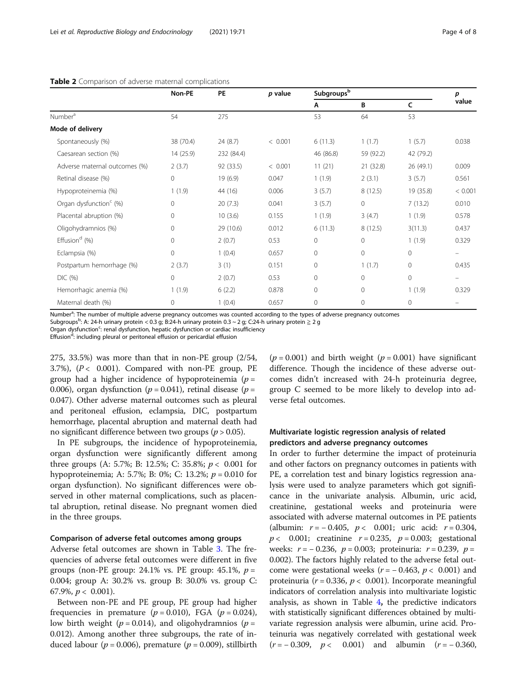|                                    | Non-PE    | PE         | p value | Subgroupsb   |              |           | р       |
|------------------------------------|-----------|------------|---------|--------------|--------------|-----------|---------|
|                                    |           |            |         | Α            | В            | C         | value   |
| Number <sup>a</sup>                | 54        | 275        |         | 53           | 64           | 53        |         |
| Mode of delivery                   |           |            |         |              |              |           |         |
| Spontaneously (%)                  | 38 (70.4) | 24(8.7)    | < 0.001 | 6(11.3)      | 1(1.7)       | 1(5.7)    | 0.038   |
| Caesarean section (%)              | 14(25.9)  | 232 (84.4) |         | 46 (86.8)    | 59 (92.2)    | 42 (79.2) |         |
| Adverse maternal outcomes (%)      | 2(3.7)    | 92 (33.5)  | < 0.001 | 11(21)       | 21 (32.8)    | 26 (49.1) | 0.009   |
| Retinal disease (%)                | 0         | 19 (6.9)   | 0.047   | 1(1.9)       | 2(3.1)       | 3(5.7)    | 0.561   |
| Hypoproteinemia (%)                | 1(1.9)    | 44 (16)    | 0.006   | 3(5.7)       | 8(12.5)      | 19 (35.8) | < 0.001 |
| Organ dysfunction <sup>c</sup> (%) | 0         | 20(7.3)    | 0.041   | 3(5.7)       | $\circ$      | 7(13.2)   | 0.010   |
| Placental abruption (%)            | $\Omega$  | 10(3.6)    | 0.155   | 1(1.9)       | 3(4.7)       | 1(1.9)    | 0.578   |
| Oligohydramnios (%)                | 0         | 29 (10.6)  | 0.012   | 6(11.3)      | 8(12.5)      | 3(11.3)   | 0.437   |
| Effusion <sup>d</sup> (%)          | 0         | 2(0.7)     | 0.53    | 0            | $\mathbf{0}$ | 1(1.9)    | 0.329   |
| Eclampsia (%)                      | 0         | 1(0.4)     | 0.657   | $\mathbf{0}$ | $\circ$      | $\circ$   |         |
| Postpartum hemorrhage (%)          | 2(3.7)    | 3(1)       | 0.151   | $\mathbf{0}$ | 1(1.7)       | $\circ$   | 0.435   |
| DIC(%)                             | 0         | 2(0.7)     | 0.53    | $\mathbf{0}$ | $\Omega$     | $\circ$   | -       |
| Hemorrhagic anemia (%)             | 1(1.9)    | 6(2.2)     | 0.878   | $\mathbf{0}$ | $\Omega$     | 1(1.9)    | 0.329   |
| Maternal death (%)                 | 0         | 1(0.4)     | 0.657   | $\mathbf{0}$ | 0            | $\circ$   |         |

#### <span id="page-3-0"></span>Table 2 Comparison of adverse maternal complications

Number<sup>a</sup>: The number of multiple adverse pregnancy outcomes was counted according to the types of adverse pregnancy outcomes

Subgroups<sup>b</sup>: A: 24-h urinary protein < 0.3 g; B:24-h urinary protein 0.3 ~ 2 g; C:24-h urinary protein  $\geq 2$  g

Organ dysfunction<sup>c</sup>: renal dysfunction, hepatic dysfunction or cardiac insufficiency

Effusion<sup>d</sup>: including pleural or peritoneal effusion or pericardial effusion

275, 33.5%) was more than that in non-PE group (2/54, 3.7%),  $(P < 0.001)$ . Compared with non-PE group, PE group had a higher incidence of hypoproteinemia ( $p =$ 0.006), organ dysfunction ( $p = 0.041$ ), retinal disease ( $p =$ 0.047). Other adverse maternal outcomes such as pleural and peritoneal effusion, eclampsia, DIC, postpartum hemorrhage, placental abruption and maternal death had no significant difference between two groups ( $p > 0.05$ ).

In PE subgroups, the incidence of hypoproteinemia, organ dysfunction were significantly different among three groups (A: 5.7%; B: 12.5%; C: 35.8%;  $p < 0.001$  for hypoproteinemia; A: 5.7%; B: 0%; C: 13.2%;  $p = 0.010$  for organ dysfunction). No significant differences were observed in other maternal complications, such as placental abruption, retinal disease. No pregnant women died in the three groups.

#### Comparison of adverse fetal outcomes among groups

Adverse fetal outcomes are shown in Table [3.](#page-4-0) The frequencies of adverse fetal outcomes were different in five groups (non-PE group: 24.1% vs. PE group: 45.1%,  $p =$ 0.004; group A: 30.2% vs. group B: 30.0% vs. group C: 67.9%,  $p < 0.001$ ).

Between non-PE and PE group, PE group had higher frequencies in premature ( $p = 0.010$ ), FGA ( $p = 0.024$ ), low birth weight ( $p = 0.014$ ), and oligohydramnios ( $p =$ 0.012). Among another three subgroups, the rate of induced labour ( $p = 0.006$ ), premature ( $p = 0.009$ ), stillbirth

 $(p = 0.001)$  and birth weight  $(p = 0.001)$  have significant difference. Though the incidence of these adverse outcomes didn't increased with 24-h proteinuria degree, group C seemed to be more likely to develop into adverse fetal outcomes.

## Multivariate logistic regression analysis of related predictors and adverse pregnancy outcomes

In order to further determine the impact of proteinuria and other factors on pregnancy outcomes in patients with PE, a correlation test and binary logistics regression analysis were used to analyze parameters which got significance in the univariate analysis. Albumin, uric acid, creatinine, gestational weeks and proteinuria were associated with adverse maternal outcomes in PE patients (albumin:  $r = -0.405$ ,  $p < 0.001$ ; uric acid:  $r = 0.304$ ,  $p < 0.001$ ; creatinine  $r = 0.235$ ,  $p = 0.003$ ; gestational weeks:  $r = -0.236$ ,  $p = 0.003$ ; proteinuria:  $r = 0.239$ ,  $p =$ 0.002). The factors highly related to the adverse fetal outcome were gestational weeks ( $r = -0.463$ ,  $p < 0.001$ ) and proteinuria ( $r = 0.336$ ,  $p < 0.001$ ). Incorporate meaningful indicators of correlation analysis into multivariate logistic analysis, as shown in Table [4](#page-4-0), the predictive indicators with statistically significant differences obtained by multivariate regression analysis were albumin, urine acid. Proteinuria was negatively correlated with gestational week  $(r = -0.309, p < 0.001)$  and albumin  $(r = -0.360,$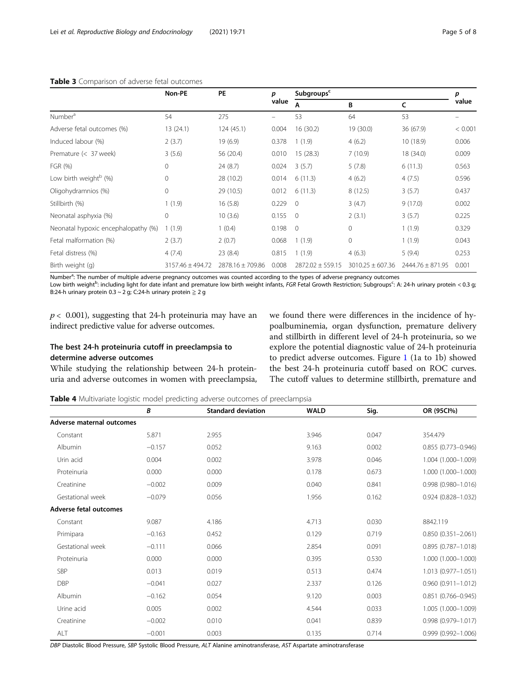|                                     | Non-PE           | <b>PE</b>            | p<br>value | Subgroups <sup>c</sup> |                      |                  |         |
|-------------------------------------|------------------|----------------------|------------|------------------------|----------------------|------------------|---------|
|                                     |                  |                      |            | A                      | B                    | C                | value   |
| Number <sup>a</sup>                 | 54               | 275                  | -          | 53                     | 64                   | 53               |         |
| Adverse fetal outcomes (%)          | 13 (24.1)        | 124(45.1)            | 0.004      | 16(30.2)               | 19 (30.0)            | 36 (67.9)        | < 0.001 |
| Induced labour (%)                  | 2(3.7)           | 19 (6.9)             | 0.378      | 1(1.9)                 | 4(6.2)               | 10 (18.9)        | 0.006   |
| Premature (< 37 week)               | 3(5.6)           | 56 (20.4)            | 0.010      | 15 (28.3)              | 7(10.9)              | 18 (34.0)        | 0.009   |
| FGR (%)                             | $\mathbf 0$      | 24(8.7)              | 0.024      | 3(5.7)                 | 5(7.8)               | 6(11.3)          | 0.563   |
| Low birth weight <sup>b</sup> (%)   | $\mathbf 0$      | 28 (10.2)            | 0.014      | 6(11.3)                | 4(6.2)               | 4(7.5)           | 0.596   |
| Oligohydramnios (%)                 | $\mathbf 0$      | 29 (10.5)            | 0.012      | 6(11.3)                | 8(12.5)              | 3(5.7)           | 0.437   |
| Stillbirth (%)                      | 1(1.9)           | 16(5.8)              | 0.229      | $\Omega$               | 3(4.7)               | 9(17.0)          | 0.002   |
| Neonatal asphyxia (%)               | $\mathbf 0$      | 10(3.6)              | 0.155      | $\overline{0}$         | 2(3.1)               | 3(5.7)           | 0.225   |
| Neonatal hypoxic encephalopathy (%) | (1.9)            | 1(0.4)               | 0.198      | $\Omega$               | $\Omega$             | 1(1.9)           | 0.329   |
| Fetal malformation (%)              | 2(3.7)           | 2(0.7)               | 0.068      | 1(1.9)                 | 0                    | 1(1.9)           | 0.043   |
| Fetal distress (%)                  | 4(7.4)           | 23 (8.4)             | 0.815      | 1(1.9)                 | 4(6.3)               | 5(9.4)           | 0.253   |
| Birth weight (g)                    | 3157.46 ± 494.72 | $2878.16 \pm 709.86$ | 0.008      | $2872.02 \pm 559.15$   | $3010.25 \pm 607.36$ | 2444.76 ± 871.95 | 0.001   |

## <span id="page-4-0"></span>Table 3 Comparison of adverse fetal outcomes

Number<sup>a</sup>: The number of multiple adverse pregnancy outcomes was counted according to the types of adverse pregnancy outcomes

Low birth weight<sup>b</sup>: including light for date infant and premature low birth weight infants, FGR Fetal Growth Restriction; Subgroups<sup>c</sup>: A: 24-h urinary protein < 0.3 g B:24-h urinary protein 0.3 ~ 2 g; C:24-h urinary protein  $\geq 2$  g

 $p < 0.001$ ), suggesting that 24-h proteinuria may have an indirect predictive value for adverse outcomes.

## The best 24-h proteinuria cutoff in preeclampsia to determine adverse outcomes

While studying the relationship between 24-h proteinuria and adverse outcomes in women with preeclampsia, we found there were differences in the incidence of hypoalbuminemia, organ dysfunction, premature delivery and stillbirth in different level of 24-h proteinuria, so we explore the potential diagnostic value of 24-h proteinuria to predict adverse outcomes. Figure [1](#page-5-0) (1a to 1b) showed the best 24-h proteinuria cutoff based on ROC curves. The cutoff values to determine stillbirth, premature and

**Table 4** Multivariate logistic model predicting adverse outcomes of preeclampsia

|                           | В        | <b>Standard deviation</b> | <b>WALD</b> | Sig.  | OR (95Cl%)             |
|---------------------------|----------|---------------------------|-------------|-------|------------------------|
| Adverse maternal outcomes |          |                           |             |       |                        |
| Constant                  | 5.871    | 2.955                     | 3.946       | 0.047 | 354.479                |
| Albumin                   | $-0.157$ | 0.052                     | 9.163       | 0.002 | 0.855 (0.773-0.946)    |
| Urin acid                 | 0.004    | 0.002                     | 3.978       | 0.046 | 1.004 (1.000-1.009)    |
| Proteinuria               | 0.000    | 0.000                     | 0.178       | 0.673 | 1.000 (1.000-1.000)    |
| Creatinine                | $-0.002$ | 0.009                     | 0.040       | 0.841 | 0.998 (0.980-1.016)    |
| Gestational week          | $-0.079$ | 0.056                     | 1.956       | 0.162 | $0.924(0.828 - 1.032)$ |
| Adverse fetal outcomes    |          |                           |             |       |                        |
| Constant                  | 9.087    | 4.186                     | 4.713       | 0.030 | 8842.119               |
| Primipara                 | $-0.163$ | 0.452                     | 0.129       | 0.719 | $0.850(0.351 - 2.061)$ |
| Gestational week          | $-0.111$ | 0.066                     | 2.854       | 0.091 | $0.895(0.787 - 1.018)$ |
| Proteinuria               | 0.000    | 0.000                     | 0.395       | 0.530 | 1.000 (1.000-1.000)    |
| SBP                       | 0.013    | 0.019                     | 0.513       | 0.474 | 1.013 (0.977-1.051)    |
| <b>DBP</b>                | $-0.041$ | 0.027                     | 2.337       | 0.126 | $0.960(0.911 - 1.012)$ |
| Albumin                   | $-0.162$ | 0.054                     | 9.120       | 0.003 | $0.851$ (0.766-0.945)  |
| Urine acid                | 0.005    | 0.002                     | 4.544       | 0.033 | 1.005 (1.000-1.009)    |
| Creatinine                | $-0.002$ | 0.010                     | 0.041       | 0.839 | 0.998 (0.979-1.017)    |
| ALT                       | $-0.001$ | 0.003                     | 0.135       | 0.714 | $0.999(0.992 - 1.006)$ |

DBP Diastolic Blood Pressure, SBP Systolic Blood Pressure, ALT Alanine aminotransferase, AST Aspartate aminotransferase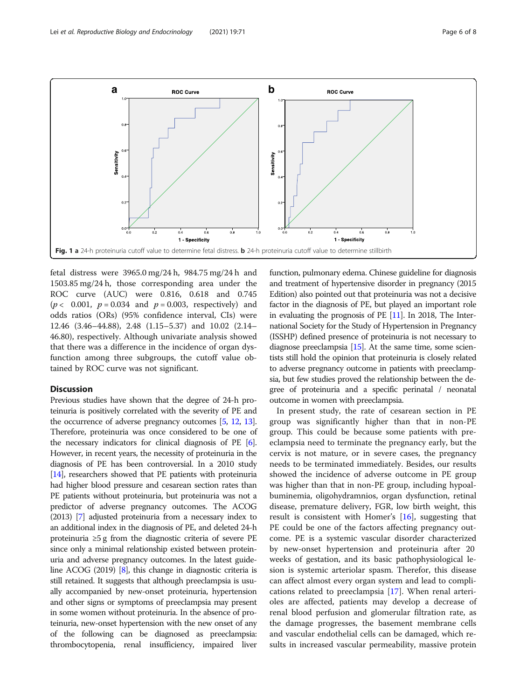<span id="page-5-0"></span>

fetal distress were 3965.0 mg/24 h, 984.75 mg/24 h and 1503.85 mg/24 h, those corresponding area under the ROC curve (AUC) were 0.816, 0.618 and 0.745  $(p < 0.001, p = 0.034$  and  $p = 0.003$ , respectively) and odds ratios (ORs) (95% confidence interval, CIs) were 12.46 (3.46–44.88), 2.48 (1.15–5.37) and 10.02 (2.14– 46.80), respectively. Although univariate analysis showed that there was a difference in the incidence of organ dysfunction among three subgroups, the cutoff value obtained by ROC curve was not significant.

### **Discussion**

Previous studies have shown that the degree of 24-h proteinuria is positively correlated with the severity of PE and the occurrence of adverse pregnancy outcomes [\[5,](#page-7-0) [12,](#page-7-0) [13](#page-7-0)]. Therefore, proteinuria was once considered to be one of the necessary indicators for clinical diagnosis of PE [[6](#page-7-0)]. However, in recent years, the necessity of proteinuria in the diagnosis of PE has been controversial. In a 2010 study [[14](#page-7-0)], researchers showed that PE patients with proteinuria had higher blood pressure and cesarean section rates than PE patients without proteinuria, but proteinuria was not a predictor of adverse pregnancy outcomes. The ACOG (2013) [[7](#page-7-0)] adjusted proteinuria from a necessary index to an additional index in the diagnosis of PE, and deleted 24-h proteinuria ≥5 g from the diagnostic criteria of severe PE since only a minimal relationship existed between proteinuria and adverse pregnancy outcomes. In the latest guideline ACOG (2019) [\[8\]](#page-7-0), this change in diagnostic criteria is still retained. It suggests that although preeclampsia is usually accompanied by new-onset proteinuria, hypertension and other signs or symptoms of preeclampsia may present in some women without proteinuria. In the absence of proteinuria, new-onset hypertension with the new onset of any of the following can be diagnosed as preeclampsia: thrombocytopenia, renal insufficiency, impaired liver

function, pulmonary edema. Chinese guideline for diagnosis and treatment of hypertensive disorder in pregnancy (2015 Edition) also pointed out that proteinuria was not a decisive factor in the diagnosis of PE, but played an important role in evaluating the prognosis of  $PE$  [\[11\]](#page-7-0). In 2018, The International Society for the Study of Hypertension in Pregnancy (ISSHP) defined presence of proteinuria is not necessary to diagnose preeclampsia [\[15\]](#page-7-0). At the same time, some scientists still hold the opinion that proteinuria is closely related to adverse pregnancy outcome in patients with preeclampsia, but few studies proved the relationship between the degree of proteinuria and a specific perinatal / neonatal outcome in women with preeclampsia.

In present study, the rate of cesarean section in PE group was significantly higher than that in non-PE group. This could be because some patients with preeclampsia need to terminate the pregnancy early, but the cervix is not mature, or in severe cases, the pregnancy needs to be terminated immediately. Besides, our results showed the incidence of adverse outcome in PE group was higher than that in non-PE group, including hypoalbuminemia, oligohydramnios, organ dysfunction, retinal disease, premature delivery, FGR, low birth weight, this result is consistent with Homer's [\[16\]](#page-7-0), suggesting that PE could be one of the factors affecting pregnancy outcome. PE is a systemic vascular disorder characterized by new-onset hypertension and proteinuria after 20 weeks of gestation, and its basic pathophysiological lesion is systemic arteriolar spasm. Therefor, this disease can affect almost every organ system and lead to complications related to preeclampsia [\[17\]](#page-7-0). When renal arterioles are affected, patients may develop a decrease of renal blood perfusion and glomerular filtration rate, as the damage progresses, the basement membrane cells and vascular endothelial cells can be damaged, which results in increased vascular permeability, massive protein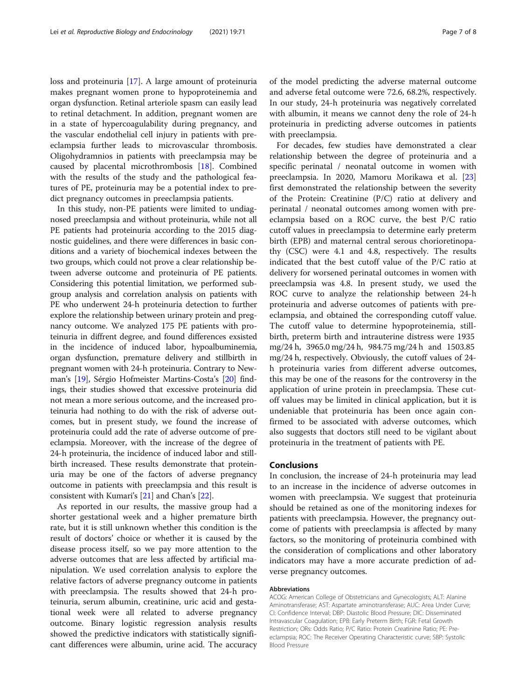loss and proteinuria [\[17\]](#page-7-0). A large amount of proteinuria makes pregnant women prone to hypoproteinemia and organ dysfunction. Retinal arteriole spasm can easily lead to retinal detachment. In addition, pregnant women are in a state of hypercoagulability during pregnancy, and the vascular endothelial cell injury in patients with preeclampsia further leads to microvascular thrombosis. Oligohydramnios in patients with preeclampsia may be caused by placental microthrombosis [[18\]](#page-7-0). Combined with the results of the study and the pathological features of PE, proteinuria may be a potential index to predict pregnancy outcomes in preeclampsia patients.

In this study, non-PE patients were limited to undiagnosed preeclampsia and without proteinuria, while not all PE patients had proteinuria according to the 2015 diagnostic guidelines, and there were differences in basic conditions and a variety of biochemical indexes between the two groups, which could not prove a clear relationship between adverse outcome and proteinuria of PE patients. Considering this potential limitation, we performed subgroup analysis and correlation analysis on patients with PE who underwent 24-h proteinuria detection to further explore the relationship between urinary protein and pregnancy outcome. We analyzed 175 PE patients with proteinuria in diffrent degree, and found differences exsisted in the incidence of induced labor, hypoalbuminemia, organ dysfunction, premature delivery and stillbirth in pregnant women with 24-h proteinuria. Contrary to Newman's [\[19\]](#page-7-0), Sérgio Hofmeister Martins-Costa's [\[20](#page-7-0)] findings, their studies showed that excessive proteinuria did not mean a more serious outcome, and the increased proteinuria had nothing to do with the risk of adverse outcomes, but in present study, we found the increase of proteinuria could add the rate of adverse outcome of preeclampsia. Moreover, with the increase of the degree of 24-h proteinuria, the incidence of induced labor and stillbirth increased. These results demonstrate that proteinuria may be one of the factors of adverse pregnancy outcome in patients with preeclampsia and this result is consistent with Kumari's [\[21\]](#page-7-0) and Chan's [[22](#page-7-0)].

As reported in our results, the massive group had a shorter gestational week and a higher premature birth rate, but it is still unknown whether this condition is the result of doctors' choice or whether it is caused by the disease process itself, so we pay more attention to the adverse outcomes that are less affected by artificial manipulation. We used correlation analysis to explore the relative factors of adverse pregnancy outcome in patients with preeclampsia. The results showed that 24-h proteinuria, serum albumin, creatinine, uric acid and gestational week were all related to adverse pregnancy outcome. Binary logistic regression analysis results showed the predictive indicators with statistically significant differences were albumin, urine acid. The accuracy of the model predicting the adverse maternal outcome and adverse fetal outcome were 72.6, 68.2%, respectively. In our study, 24-h proteinuria was negatively correlated with albumin, it means we cannot deny the role of 24-h proteinuria in predicting adverse outcomes in patients with preeclampsia.

For decades, few studies have demonstrated a clear relationship between the degree of proteinuria and a specific perinatal / neonatal outcome in women with preeclampsia. In 2020, Mamoru Morikawa et al. [[23](#page-7-0)] first demonstrated the relationship between the severity of the Protein: Creatinine (P/C) ratio at delivery and perinatal / neonatal outcomes among women with preeclampsia based on a ROC curve, the best P/C ratio cutoff values in preeclampsia to determine early preterm birth (EPB) and maternal central serous chorioretinopathy (CSC) were 4.1 and 4.8, respectively. The results indicated that the best cutoff value of the P/C ratio at delivery for worsened perinatal outcomes in women with preeclampsia was 4.8. In present study, we used the ROC curve to analyze the relationship between 24-h proteinuria and adverse outcomes of patients with preeclampsia, and obtained the corresponding cutoff value. The cutoff value to determine hypoproteinemia, stillbirth, preterm birth and intrauterine distress were 1935 mg/24 h, 3965.0 mg/24 h, 984.75 mg/24 h and 1503.85 mg/24 h, respectively. Obviously, the cutoff values of 24 h proteinuria varies from different adverse outcomes, this may be one of the reasons for the controversy in the application of urine protein in preeclampsia. These cutoff values may be limited in clinical application, but it is undeniable that proteinuria has been once again confirmed to be associated with adverse outcomes, which also suggests that doctors still need to be vigilant about proteinuria in the treatment of patients with PE.

## Conclusions

In conclusion, the increase of 24-h proteinuria may lead to an increase in the incidence of adverse outcomes in women with preeclampsia. We suggest that proteinuria should be retained as one of the monitoring indexes for patients with preeclampsia. However, the pregnancy outcome of patients with preeclampsia is affected by many factors, so the monitoring of proteinuria combined with the consideration of complications and other laboratory indicators may have a more accurate prediction of adverse pregnancy outcomes.

#### Abbreviations

ACOG: American College of Obstetricians and Gynecologists; ALT: Alanine Aminotransferase; AST: Aspartate aminotransferase; AUC: Area Under Curve; CI: Confidence Interval; DBP: Diastolic Blood Pressure; DIC: Disseminated Intravascular Coagulation; EPB: Early Preterm Birth; FGR: Fetal Growth Restriction; ORs: Odds Ratio; P/C Ratio: Protein Creatinine Ratio; PE: Preeclampsia; ROC: The Receiver Operating Characteristic curve; SBP: Systolic Blood Pressure